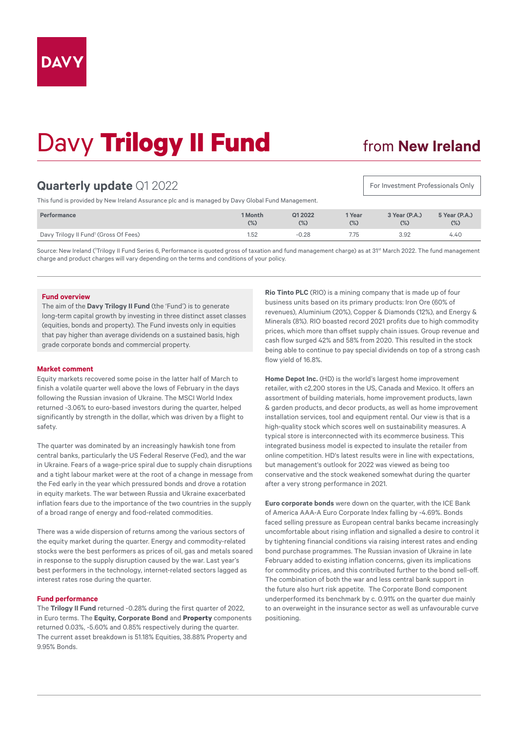# Davy **Trilogy II Fund**

## from **New Ireland**

For Investment Professionals Only

### **Quarterly update** Q1 2022

This fund is provided by New Ireland Assurance plc and is managed by Davy Global Fund Management.

| Performance                                       | 1 Month | Q1 2022 | 1 Year | 3 Year (P.A.) | 5 Year (P.A.) |
|---------------------------------------------------|---------|---------|--------|---------------|---------------|
|                                                   | $(\%)$  | $(\%)$  | $(\%)$ | (%)           | $(\%)$        |
| Davy Trilogy II Fund <sup>1</sup> (Gross Of Fees) | 1.52    | $-0.28$ | 7.75   | 3.92          | 4.40          |

Source: New Ireland ('Trilogy II Fund Series 6, Performance is quoted gross of taxation and fund management charge) as at 31<sup>st</sup> March 2022. The fund management charge and product charges will vary depending on the terms and conditions of your policy.

#### **Fund overview**

The aim of the **Davy Trilogy II Fund** (the 'Fund') is to generate long-term capital growth by investing in three distinct asset classes (equities, bonds and property). The Fund invests only in equities that pay higher than average dividends on a sustained basis, high grade corporate bonds and commercial property.

### **Market comment**

Equity markets recovered some poise in the latter half of March to finish a volatile quarter well above the lows of February in the days following the Russian invasion of Ukraine. The MSCI World Index returned -3.06% to euro-based investors during the quarter, helped significantly by strength in the dollar, which was driven by a flight to safety.

The quarter was dominated by an increasingly hawkish tone from central banks, particularly the US Federal Reserve (Fed), and the war in Ukraine. Fears of a wage-price spiral due to supply chain disruptions and a tight labour market were at the root of a change in message from the Fed early in the year which pressured bonds and drove a rotation in equity markets. The war between Russia and Ukraine exacerbated inflation fears due to the importance of the two countries in the supply of a broad range of energy and food-related commodities.

There was a wide dispersion of returns among the various sectors of the equity market during the quarter. Energy and commodity-related stocks were the best performers as prices of oil, gas and metals soared in response to the supply disruption caused by the war. Last year's best performers in the technology, internet-related sectors lagged as interest rates rose during the quarter.

#### **Fund performance**

The **Trilogy II Fund** returned -0.28% during the first quarter of 2022, in Euro terms. The **Equity, Corporate Bond** and **Property** components returned 0.03%, -5.60% and 0.85% respectively during the quarter. The current asset breakdown is 51.18% Equities, 38.88% Property and 9.95% Bonds.

**Rio Tinto PLC** (RIO) is a mining company that is made up of four business units based on its primary products: Iron Ore (60% of revenues), Aluminium (20%), Copper & Diamonds (12%), and Energy & Minerals (8%). RIO boasted record 2021 profits due to high commodity prices, which more than offset supply chain issues. Group revenue and cash flow surged 42% and 58% from 2020. This resulted in the stock being able to continue to pay special dividends on top of a strong cash flow yield of 16.8%.

**Home Depot Inc.** (HD) is the world's largest home improvement retailer, with c2,200 stores in the US, Canada and Mexico. It offers an assortment of building materials, home improvement products, lawn & garden products, and decor products, as well as home improvement installation services, tool and equipment rental. Our view is that is a high-quality stock which scores well on sustainability measures. A typical store is interconnected with its ecommerce business. This integrated business model is expected to insulate the retailer from online competition. HD's latest results were in line with expectations, but management's outlook for 2022 was viewed as being too conservative and the stock weakened somewhat during the quarter after a very strong performance in 2021.

**Euro corporate bonds** were down on the quarter, with the ICE Bank of America AAA-A Euro Corporate Index falling by -4.69%. Bonds faced selling pressure as European central banks became increasingly uncomfortable about rising inflation and signalled a desire to control it by tightening financial conditions via raising interest rates and ending bond purchase programmes. The Russian invasion of Ukraine in late February added to existing inflation concerns, given its implications for commodity prices, and this contributed further to the bond sell-off. The combination of both the war and less central bank support in the future also hurt risk appetite. The Corporate Bond component underperformed its benchmark by c. 0.91% on the quarter due mainly to an overweight in the insurance sector as well as unfavourable curve positioning.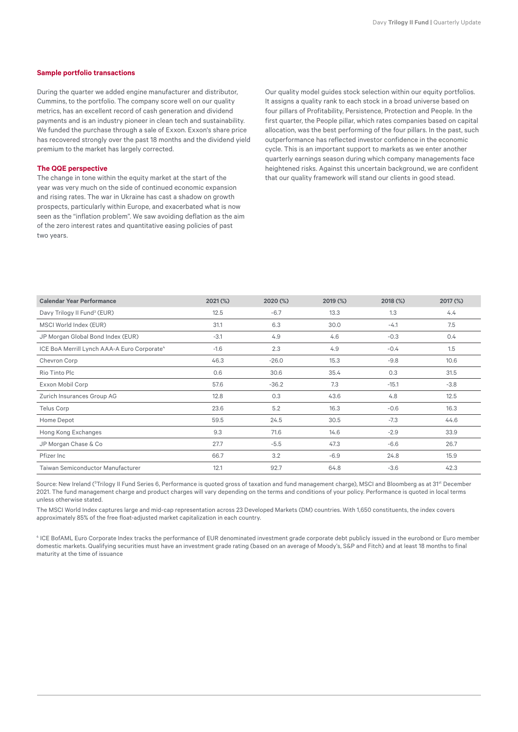#### **Sample portfolio transactions**

During the quarter we added engine manufacturer and distributor, Cummins, to the portfolio. The company score well on our quality metrics, has an excellent record of cash generation and dividend payments and is an industry pioneer in clean tech and sustainability. We funded the purchase through a sale of Exxon. Exxon's share price has recovered strongly over the past 18 months and the dividend yield premium to the market has largely corrected.

#### **The QQE perspective**

The change in tone within the equity market at the start of the year was very much on the side of continued economic expansion and rising rates. The war in Ukraine has cast a shadow on growth prospects, particularly within Europe, and exacerbated what is now seen as the "inflation problem". We saw avoiding deflation as the aim of the zero interest rates and quantitative easing policies of past two years.

Our quality model guides stock selection within our equity portfolios. It assigns a quality rank to each stock in a broad universe based on four pillars of Profitability, Persistence, Protection and People. In the first quarter, the People pillar, which rates companies based on capital allocation, was the best performing of the four pillars. In the past, such outperformance has reflected investor confidence in the economic cycle. This is an important support to markets as we enter another quarterly earnings season during which company managements face heightened risks. Against this uncertain background, we are confident that our quality framework will stand our clients in good stead.

| <b>Calendar Year Performance</b>                        | 2021 (%) | 2020 (%) | 2019 (%) | 2018 (%) | 2017 (%)      |
|---------------------------------------------------------|----------|----------|----------|----------|---------------|
| Davy Trilogy II Fund <sup>3</sup> (EUR)                 | 12.5     | $-6.7$   | 13.3     | 1.3      | 4.4           |
| MSCI World Index (EUR)                                  | 31.1     | 6.3      | 30.0     | $-4.1$   | 7.5           |
| JP Morgan Global Bond Index (EUR)                       | $-3.1$   | 4.9      | 4.6      | $-0.3$   | $0.4^{\circ}$ |
| ICE BoA Merrill Lynch AAA-A Euro Corporate <sup>4</sup> | $-1.6$   | 2.3      | 4.9      | $-0.4$   | 1.5           |
| Chevron Corp                                            | 46.3     | $-26.0$  | 15.3     | $-9.8$   | 10.6          |
| Rio Tinto Plc                                           | 0.6      | 30.6     | 35.4     | 0.3      | 31.5          |
| Exxon Mobil Corp                                        | 57.6     | $-36.2$  | 7.3      | $-15.1$  | $-3.8$        |
| Zurich Insurances Group AG                              | 12.8     | 0.3      | 43.6     | 4.8      | 12.5          |
| Telus Corp                                              | 23.6     | 5.2      | 16.3     | $-0.6$   | 16.3          |
| Home Depot                                              | 59.5     | 24.5     | 30.5     | $-7.3$   | 44.6          |
| Hong Kong Exchanges                                     | 9.3      | 71.6     | 14.6     | $-2.9$   | 33.9          |
| JP Morgan Chase & Co                                    | 27.7     | $-5.5$   | 47.3     | $-6.6$   | 26.7          |
| Pfizer Inc                                              | 66.7     | 3.2      | $-6.9$   | 24.8     | 15.9          |
| <b>Taiwan Semiconductor Manufacturer</b>                | 12.1     | 92.7     | 64.8     | $-3.6$   | 42.3          |

Source: New Ireland (<sup>3</sup>Trilogy II Fund Series 6, Performance is quoted gross of taxation and fund management charge), MSCI and Bloomberg as at 31<sup>st</sup> December 2021. The fund management charge and product charges will vary depending on the terms and conditions of your policy. Performance is quoted in local terms unless otherwise stated.

The MSCI World Index captures large and mid-cap representation across 23 Developed Markets (DM) countries. With 1,650 constituents, the index covers approximately 85% of the free float-adjusted market capitalization in each country.

4 ICE BofAML Euro Corporate Index tracks the performance of EUR denominated investment grade corporate debt publicly issued in the eurobond or Euro member domestic markets. Qualifying securities must have an investment grade rating (based on an average of Moody's, S&P and Fitch) and at least 18 months to final maturity at the time of issuance